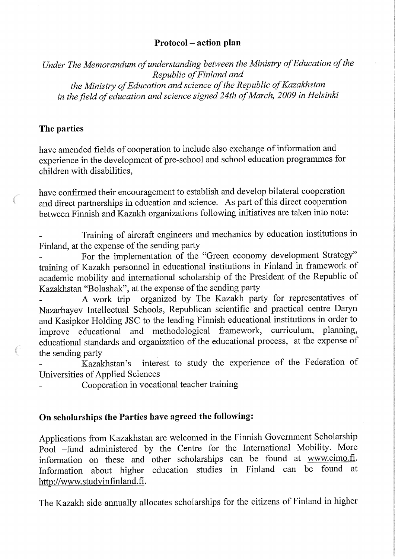## Protocol - action pian

Under The Memorandum of understanding between the Ministry of Education of the Republic of Finland and the Ministry of Education and science of the Republic of Kazakhstan in the field of education and science signed 24th of March, 2009 in Helsinki

## The parties

have amended fields of cooperation to include also exchange of information and experience in the development of pre-school and school education programmes for children with disabilities,

have confirmed their encouragement to establish and develop bilateral cooperation and direct partnerships in education and science. As part of this direct cooperation between Finnish and Kazakh organizations following initiatives are taken into note:

Training of aircrafit engineers and mechanics by education institutions in Finland, at the expense of the sending party

For the implementation of the "Green economy development Strategy" training of Kazakh personnel in educational institutions in Finland in framework of academic mobility and international scholarship of the President of the Republic of Kazakhstan "Bolashak", at the expense of the sending party

A work trip organized by The Kazakh party for representatives of Nazarbayev Intellectual Schools, Republican scientific and practical centre Daryn and Kasipkor Holding JSC to the leading Finnish educational institutions in order to improve educational and methodological framework, curriculum, planning, improve educational and methodological framework, educational standards and organization of the educational process, at the expense of the sending party

Kazakhstan's interest to study the experience of the Federation of Universities of Applied Sciences

Cooperation in vocational teacher training

## On scholarships the Parties have agreed the following:

Applications from Kazakhstan are welcomed in the Finnish Government Scholarship Pool -fund administered by the Centre for the International Mobility. More information on these and other scholarships can be found at www.cimo.fi. Information about higher education Studies in Finland can be found at http://www.studyinfinland.fi.

The Kazakh side annually allocates scholarships for the citizens of Finland in higher